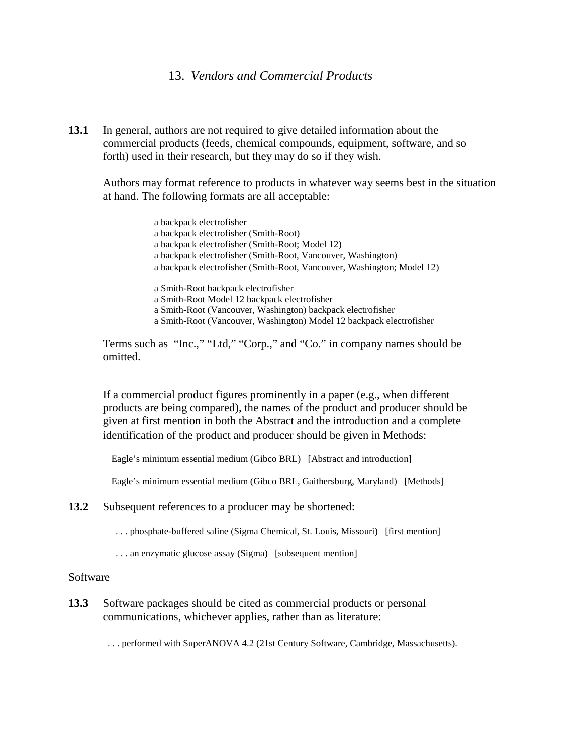## 13. *Vendors and Commercial Products*

**13.1** In general, authors are not required to give detailed information about the commercial products (feeds, chemical compounds, equipment, software, and so forth) used in their research, but they may do so if they wish.

Authors may format reference to products in whatever way seems best in the situation at hand. The following formats are all acceptable:

> a backpack electrofisher a backpack electrofisher (Smith-Root) a backpack electrofisher (Smith-Root; Model 12) a backpack electrofisher (Smith-Root, Vancouver, Washington) a backpack electrofisher (Smith-Root, Vancouver, Washington; Model 12) a Smith-Root backpack electrofisher a Smith-Root Model 12 backpack electrofisher a Smith-Root (Vancouver, Washington) backpack electrofisher a Smith-Root (Vancouver, Washington) Model 12 backpack electrofisher

Terms such as "Inc.," "Ltd," "Corp.," and "Co." in company names should be omitted.

If a commercial product figures prominently in a paper (e.g., when different products are being compared), the names of the product and producer should be given at first mention in both the Abstract and the introduction and a complete identification of the product and producer should be given in Methods:

Eagle's minimum essential medium (Gibco BRL) [Abstract and introduction]

Eagle's minimum essential medium (Gibco BRL, Gaithersburg, Maryland) [Methods]

**13.2** Subsequent references to a producer may be shortened:

. . . phosphate-buffered saline (Sigma Chemical, St. Louis, Missouri) [first mention]

. . . an enzymatic glucose assay (Sigma) [subsequent mention]

## Software

**13.3** Software packages should be cited as commercial products or personal communications, whichever applies, rather than as literature:

. . . performed with SuperANOVA 4.2 (21st Century Software, Cambridge, Massachusetts).